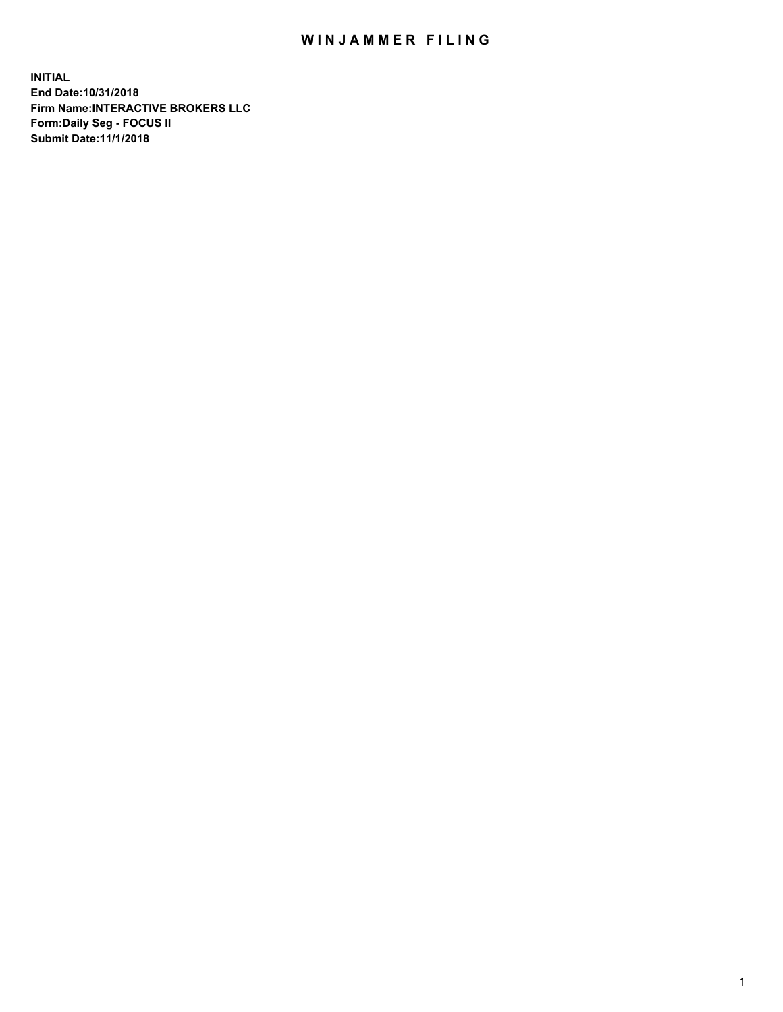## WIN JAMMER FILING

**INITIAL End Date:10/31/2018 Firm Name:INTERACTIVE BROKERS LLC Form:Daily Seg - FOCUS II Submit Date:11/1/2018**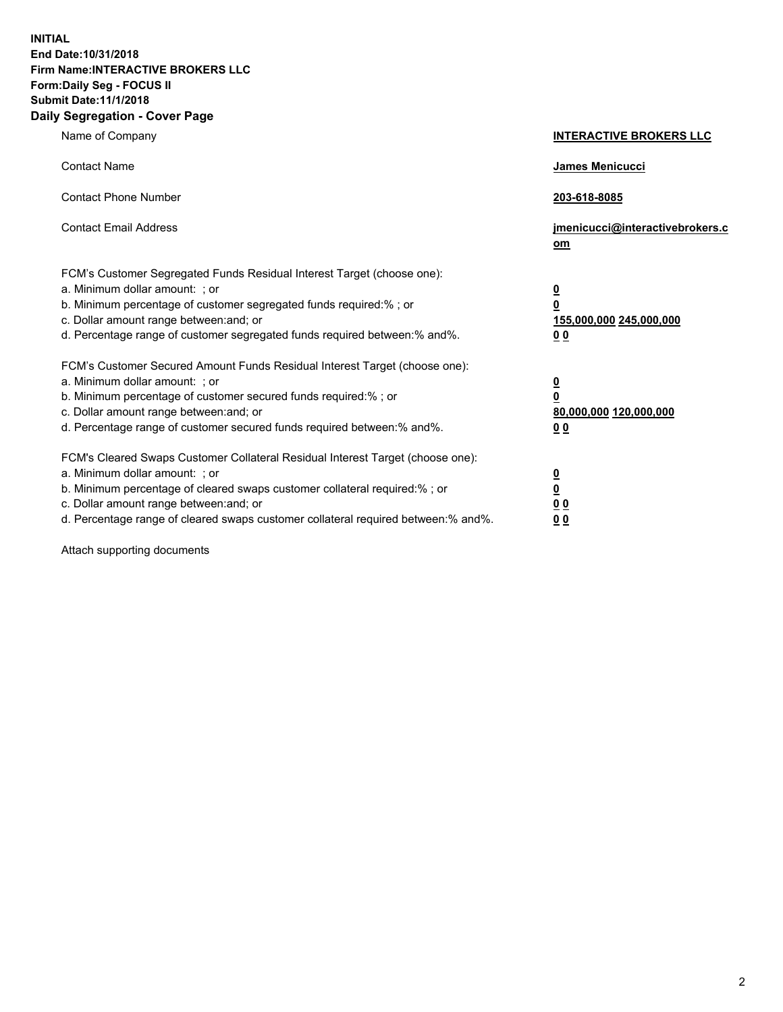**INITIAL End Date:10/31/2018 Firm Name:INTERACTIVE BROKERS LLC Form:Daily Seg - FOCUS II Submit Date:11/1/2018 Daily Segregation - Cover Page**

| Name of Company                                                                                                                                                                                                                                                                                                                | <b>INTERACTIVE BROKERS LLC</b>                                                                  |
|--------------------------------------------------------------------------------------------------------------------------------------------------------------------------------------------------------------------------------------------------------------------------------------------------------------------------------|-------------------------------------------------------------------------------------------------|
| <b>Contact Name</b>                                                                                                                                                                                                                                                                                                            | <b>James Menicucci</b>                                                                          |
| <b>Contact Phone Number</b>                                                                                                                                                                                                                                                                                                    | 203-618-8085                                                                                    |
| <b>Contact Email Address</b>                                                                                                                                                                                                                                                                                                   | jmenicucci@interactivebrokers.c<br>$om$                                                         |
| FCM's Customer Segregated Funds Residual Interest Target (choose one):<br>a. Minimum dollar amount: ; or<br>b. Minimum percentage of customer segregated funds required:% ; or<br>c. Dollar amount range between: and; or<br>d. Percentage range of customer segregated funds required between:% and%.                         | $\overline{\mathbf{0}}$<br>$\overline{\mathbf{0}}$<br>155,000,000 245,000,000<br>0 <sub>0</sub> |
| FCM's Customer Secured Amount Funds Residual Interest Target (choose one):<br>a. Minimum dollar amount: ; or<br>b. Minimum percentage of customer secured funds required:%; or<br>c. Dollar amount range between: and; or<br>d. Percentage range of customer secured funds required between:% and%.                            | $\overline{\mathbf{0}}$<br>$\overline{\mathbf{0}}$<br>80,000,000 120,000,000<br>0 <sub>0</sub>  |
| FCM's Cleared Swaps Customer Collateral Residual Interest Target (choose one):<br>a. Minimum dollar amount: ; or<br>b. Minimum percentage of cleared swaps customer collateral required:% ; or<br>c. Dollar amount range between: and; or<br>d. Percentage range of cleared swaps customer collateral required between:% and%. | $\overline{\mathbf{0}}$<br>$\underline{\mathbf{0}}$<br>0 <sub>0</sub><br>00                     |

Attach supporting documents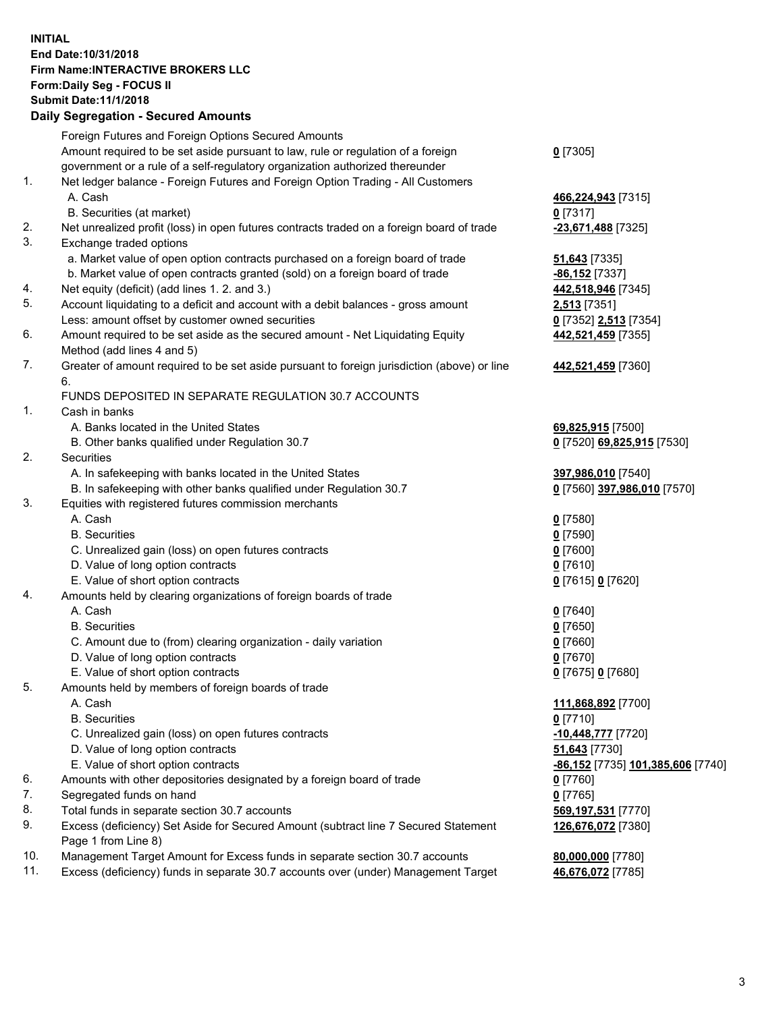## **INITIAL End Date:10/31/2018 Firm Name:INTERACTIVE BROKERS LLC Form:Daily Seg - FOCUS II Submit Date:11/1/2018 Daily Segregation - Secured Amounts**

|     | Dany Ocgregation - oceaned Anioante                                                               |                                   |
|-----|---------------------------------------------------------------------------------------------------|-----------------------------------|
|     | Foreign Futures and Foreign Options Secured Amounts                                               |                                   |
|     | Amount required to be set aside pursuant to law, rule or regulation of a foreign                  | $0$ [7305]                        |
|     | government or a rule of a self-regulatory organization authorized thereunder                      |                                   |
| 1.  | Net ledger balance - Foreign Futures and Foreign Option Trading - All Customers                   |                                   |
|     | A. Cash                                                                                           | 466,224,943 [7315]                |
|     | B. Securities (at market)                                                                         | $0$ [7317]                        |
| 2.  | Net unrealized profit (loss) in open futures contracts traded on a foreign board of trade         | -23,671,488 [7325]                |
| 3.  | Exchange traded options                                                                           |                                   |
|     | a. Market value of open option contracts purchased on a foreign board of trade                    | 51,643 [7335]                     |
|     | b. Market value of open contracts granted (sold) on a foreign board of trade                      | -86,152 <sup>[7337]</sup>         |
| 4.  | Net equity (deficit) (add lines 1.2. and 3.)                                                      | 442,518,946 [7345]                |
| 5.  | Account liquidating to a deficit and account with a debit balances - gross amount                 | <b>2,513</b> [7351]               |
|     | Less: amount offset by customer owned securities                                                  | 0 [7352] 2,513 [7354]             |
| 6.  | Amount required to be set aside as the secured amount - Net Liquidating Equity                    | 442,521,459 [7355]                |
|     | Method (add lines 4 and 5)                                                                        |                                   |
| 7.  | Greater of amount required to be set aside pursuant to foreign jurisdiction (above) or line<br>6. | 442,521,459 [7360]                |
|     | FUNDS DEPOSITED IN SEPARATE REGULATION 30.7 ACCOUNTS                                              |                                   |
| 1.  | Cash in banks                                                                                     |                                   |
|     | A. Banks located in the United States                                                             | 69,825,915 [7500]                 |
|     | B. Other banks qualified under Regulation 30.7                                                    | 0 [7520] 69,825,915 [7530]        |
| 2.  | Securities                                                                                        |                                   |
|     | A. In safekeeping with banks located in the United States                                         | 397,986,010 [7540]                |
|     | B. In safekeeping with other banks qualified under Regulation 30.7                                | 0 [7560] 397,986,010 [7570]       |
| 3.  | Equities with registered futures commission merchants                                             |                                   |
|     | A. Cash                                                                                           | $0$ [7580]                        |
|     | <b>B.</b> Securities                                                                              | $0$ [7590]                        |
|     | C. Unrealized gain (loss) on open futures contracts                                               | $0$ [7600]                        |
|     | D. Value of long option contracts                                                                 | $0$ [7610]                        |
|     | E. Value of short option contracts                                                                | 0 [7615] 0 [7620]                 |
| 4.  | Amounts held by clearing organizations of foreign boards of trade                                 |                                   |
|     | A. Cash                                                                                           | $0$ [7640]                        |
|     | <b>B.</b> Securities                                                                              | $0$ [7650]                        |
|     | C. Amount due to (from) clearing organization - daily variation                                   | $0$ [7660]                        |
|     | D. Value of long option contracts                                                                 | $0$ [7670]                        |
|     | E. Value of short option contracts                                                                | 0 [7675] 0 [7680]                 |
| 5.  | Amounts held by members of foreign boards of trade                                                |                                   |
|     | A. Cash                                                                                           | 111,868,892 [7700]                |
|     | <b>B.</b> Securities                                                                              | $0$ [7710]                        |
|     | C. Unrealized gain (loss) on open futures contracts                                               | -10,448,777 [7720]                |
|     | D. Value of long option contracts                                                                 | 51,643 [7730]                     |
|     | E. Value of short option contracts                                                                | -86,152 [7735] 101,385,606 [7740] |
| 6.  | Amounts with other depositories designated by a foreign board of trade                            | $0$ [7760]                        |
| 7.  | Segregated funds on hand                                                                          | $0$ [7765]                        |
| 8.  | Total funds in separate section 30.7 accounts                                                     | 569,197,531 [7770]                |
| 9.  | Excess (deficiency) Set Aside for Secured Amount (subtract line 7 Secured Statement               | 126,676,072 [7380]                |
|     | Page 1 from Line 8)                                                                               |                                   |
| 10. | Management Target Amount for Excess funds in separate section 30.7 accounts                       | 80,000,000 [7780]                 |
| 11. | Excess (deficiency) funds in separate 30.7 accounts over (under) Management Target                | 46,676,072 [7785]                 |
|     |                                                                                                   |                                   |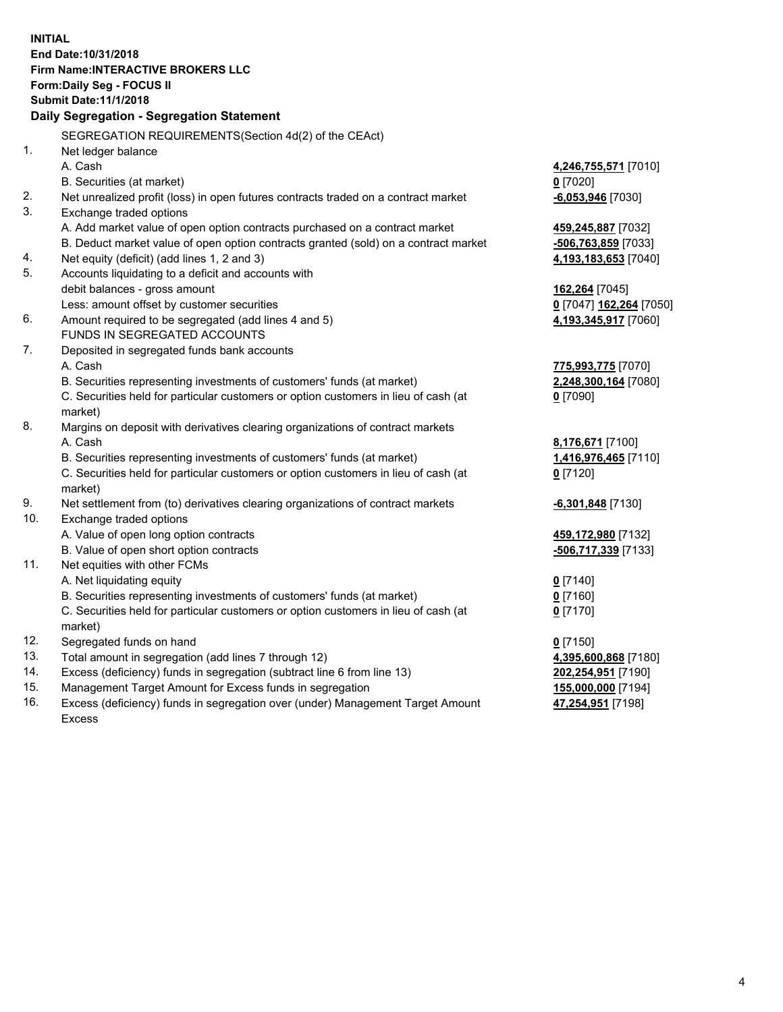|                          | <b>INITIAL</b><br>End Date: 10/31/2018<br><b>Firm Name: INTERACTIVE BROKERS LLC</b><br>Form: Daily Seg - FOCUS II<br><b>Submit Date: 11/1/2018</b><br>Daily Segregation - Segregation Statement                         |                                                                                |
|--------------------------|-------------------------------------------------------------------------------------------------------------------------------------------------------------------------------------------------------------------------|--------------------------------------------------------------------------------|
|                          | SEGREGATION REQUIREMENTS(Section 4d(2) of the CEAct)                                                                                                                                                                    |                                                                                |
| $\mathbf{1}$ .           | Net ledger balance                                                                                                                                                                                                      |                                                                                |
| 2.                       | A. Cash<br>B. Securities (at market)<br>Net unrealized profit (loss) in open futures contracts traded on a contract market                                                                                              | 4,246,755,571 [7010]<br>$0$ [7020]<br>$-6,053,946$ [7030]                      |
| 3.                       | Exchange traded options<br>A. Add market value of open option contracts purchased on a contract market<br>B. Deduct market value of open option contracts granted (sold) on a contract market                           | 459,245,887 [7032]<br>-506,763,859 [7033]                                      |
| 4.<br>5.                 | Net equity (deficit) (add lines 1, 2 and 3)<br>Accounts liquidating to a deficit and accounts with                                                                                                                      | 4,193,183,653 [7040]                                                           |
| 6.                       | debit balances - gross amount<br>Less: amount offset by customer securities<br>Amount required to be segregated (add lines 4 and 5)                                                                                     | 162,264 [7045]<br>0 [7047] 162,264 [7050]<br>4,193,345,917 [7060]              |
| 7.                       | FUNDS IN SEGREGATED ACCOUNTS<br>Deposited in segregated funds bank accounts                                                                                                                                             |                                                                                |
|                          | A. Cash<br>B. Securities representing investments of customers' funds (at market)<br>C. Securities held for particular customers or option customers in lieu of cash (at<br>market)                                     | 775,993,775 [7070]<br>2,248,300,164 [7080]<br>$0$ [7090]                       |
| 8.                       | Margins on deposit with derivatives clearing organizations of contract markets<br>A. Cash                                                                                                                               | 8,176,671 [7100]                                                               |
|                          | B. Securities representing investments of customers' funds (at market)<br>C. Securities held for particular customers or option customers in lieu of cash (at<br>market)                                                | 1,416,976,465 [7110]<br>$0$ [7120]                                             |
| 9.<br>10.                | Net settlement from (to) derivatives clearing organizations of contract markets<br>Exchange traded options                                                                                                              | <b>6,301,848</b> [7130]                                                        |
| 11.                      | A. Value of open long option contracts<br>B. Value of open short option contracts<br>Net equities with other FCMs                                                                                                       | 459,172,980 [7132]<br>-506,717,339 [7133]                                      |
|                          | A. Net liquidating equity<br>B. Securities representing investments of customers' funds (at market)<br>C. Securities held for particular customers or option customers in lieu of cash (at<br>market)                   | $0$ [7140]<br>0 <sup>[7160]</sup><br>$0$ [7170]                                |
| 12.<br>13.<br>14.<br>15. | Segregated funds on hand<br>Total amount in segregation (add lines 7 through 12)<br>Excess (deficiency) funds in segregation (subtract line 6 from line 13)<br>Management Target Amount for Excess funds in segregation | $0$ [7150]<br>4,395,600,868 [7180]<br>202,254,951 [7190]<br>155,000,000 [7194] |

16. Excess (deficiency) funds in segregation over (under) Management Target Amount Excess

**47,254,951** [7198]